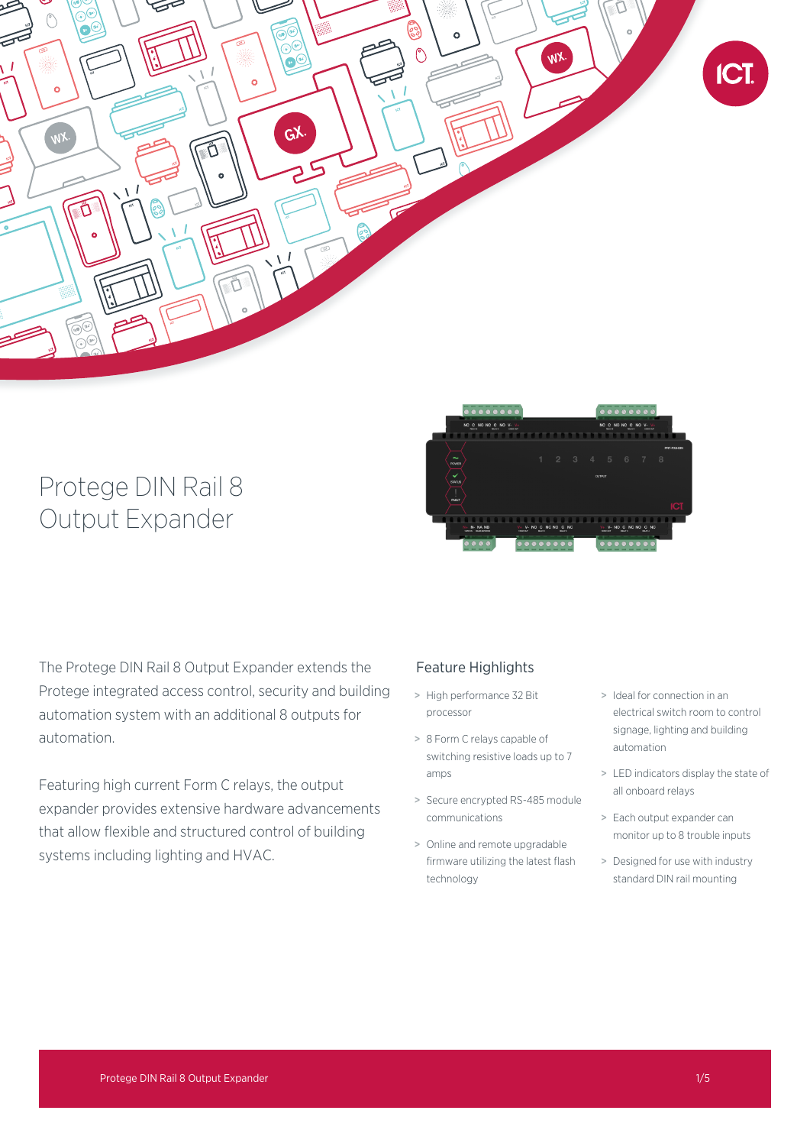

# Protege DIN Rail 8 Output Expander



The Protege DIN Rail 8 Output Expander extends the Protege integrated access control, security and building automation system with an additional 8 outputs for automation.

Featuring high current Form C relays, the output expander provides extensive hardware advancements that allow flexible and structured control of building systems including lighting and HVAC.

## Feature Highlights

- > High performance 32 Bit processor
- > 8 Form C relays capable of switching resistive loads up to 7 amps
- > Secure encrypted RS-485 module communications
- > Online and remote upgradable firmware utilizing the latest flash technology
- > Ideal for connection in an electrical switch room to control signage, lighting and building automation
- > LED indicators display the state of all onboard relays
- > Each output expander can monitor up to 8 trouble inputs
- > Designed for use with industry standard DIN rail mounting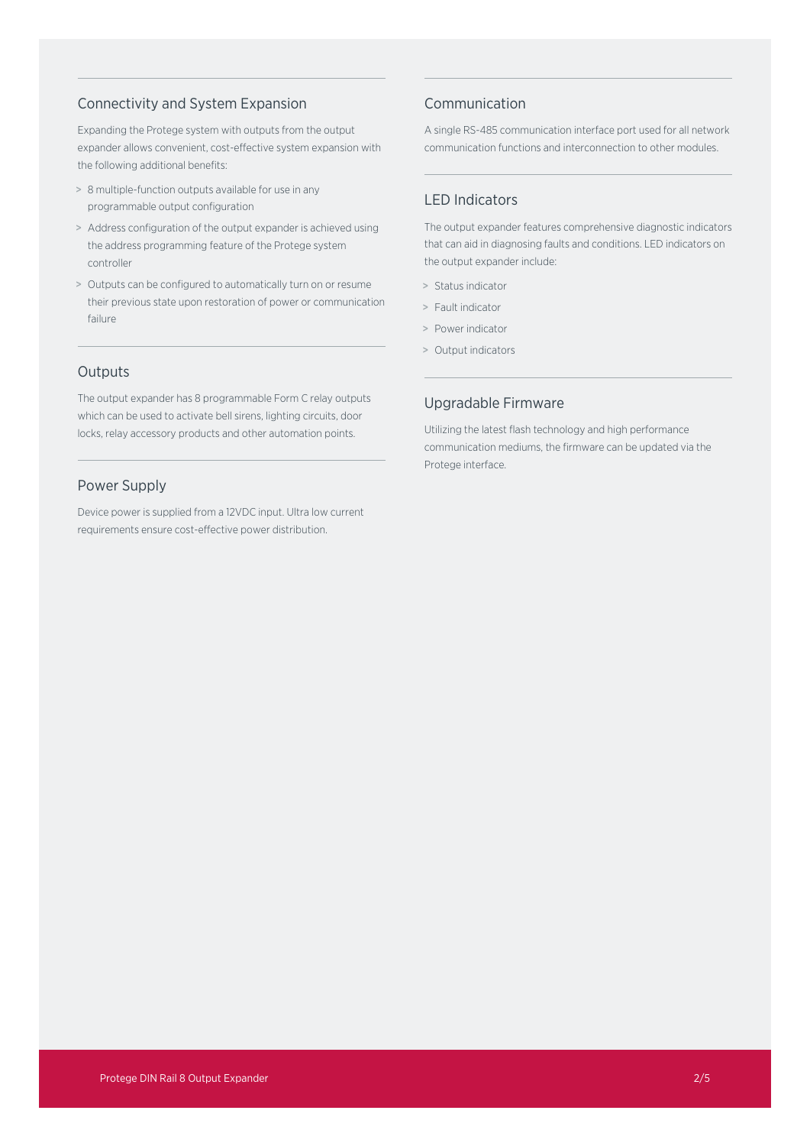## Connectivity and System Expansion

Expanding the Protege system with outputs from the output expander allows convenient, cost-effective system expansion with the following additional benefits:

- > 8 multiple-function outputs available for use in any programmable output configuration
- > Address configuration of the output expander is achieved using the address programming feature of the Protege system controller
- > Outputs can be configured to automatically turn on or resume their previous state upon restoration of power or communication failure

## **Outputs**

The output expander has 8 programmable Form C relay outputs which can be used to activate bell sirens, lighting circuits, door locks, relay accessory products and other automation points.

## Power Supply

Device power is supplied from a 12VDC input. Ultra low current requirements ensure cost-effective power distribution.

## Communication

A single RS-485 communication interface port used for all network communication functions and interconnection to other modules.

## LED Indicators

The output expander features comprehensive diagnostic indicators that can aid in diagnosing faults and conditions. LED indicators on the output expander include:

- > Status indicator
- > Fault indicator
- > Power indicator
- > Output indicators

## Upgradable Firmware

Utilizing the latest flash technology and high performance communication mediums, the firmware can be updated via the Protege interface.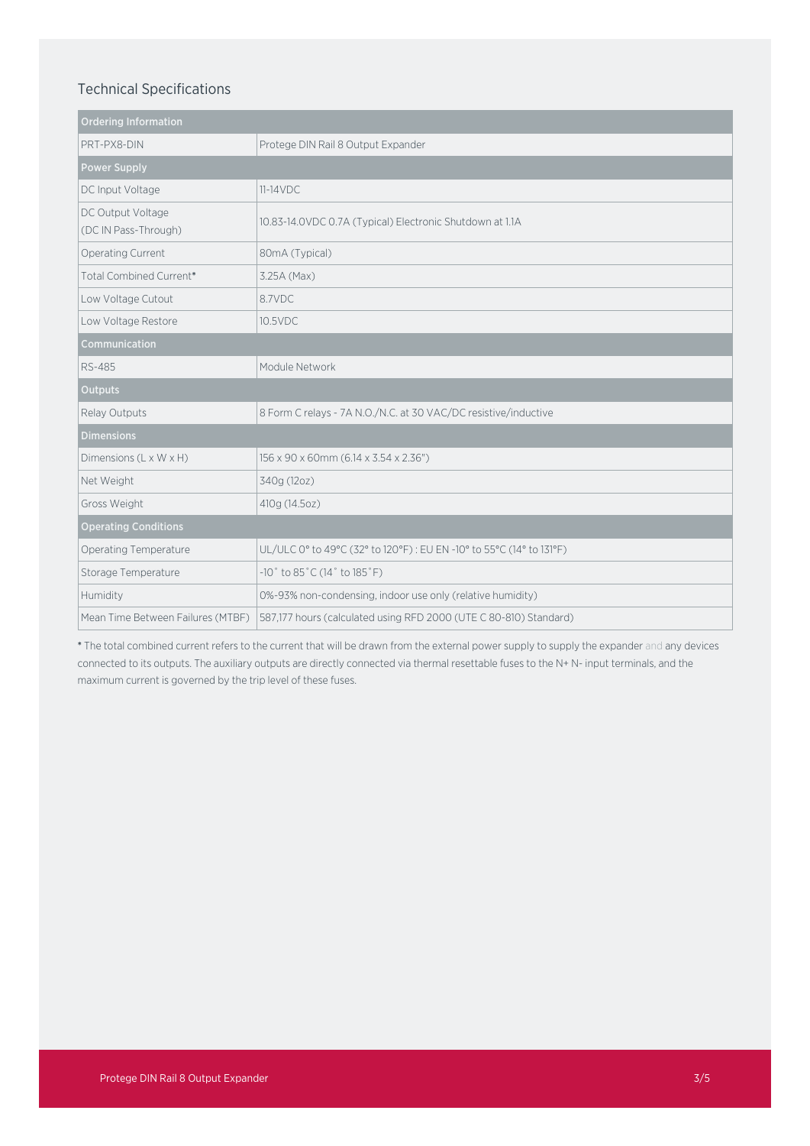## Technical Specifications

| <b>Ordering Information</b>               |                                                                     |
|-------------------------------------------|---------------------------------------------------------------------|
| PRT-PX8-DIN                               | Protege DIN Rail 8 Output Expander                                  |
| <b>Power Supply</b>                       |                                                                     |
| DC Input Voltage                          | $11-14VDC$                                                          |
| DC Output Voltage<br>(DC IN Pass-Through) | 10.83-14.0VDC 0.7A (Typical) Electronic Shutdown at 1.1A            |
| Operating Current                         | 80mA (Typical)                                                      |
| Total Combined Current*                   | 3.25A (Max)                                                         |
| Low Voltage Cutout                        | 8.7VDC                                                              |
| Low Voltage Restore                       | 10.5VDC                                                             |
| Communication                             |                                                                     |
| <b>RS-485</b>                             | Module Network                                                      |
| <b>Outputs</b>                            |                                                                     |
| Relay Outputs                             | 8 Form C relays - 7A N.O./N.C. at 30 VAC/DC resistive/inductive     |
| <b>Dimensions</b>                         |                                                                     |
| Dimensions (L x W x H)                    | 156 x 90 x 60mm (6.14 x 3.54 x 2.36")                               |
| Net Weight                                | 340g (12oz)                                                         |
| Gross Weight                              | 410g (14.5oz)                                                       |
| <b>Operating Conditions</b>               |                                                                     |
| Operating Temperature                     | UL/ULC 0° to 49°C (32° to 120°F): EU EN -10° to 55°C (14° to 131°F) |
| Storage Temperature                       | $-10$ ° to 85°C (14° to 185°F)                                      |
| Humidity                                  | 0%-93% non-condensing, indoor use only (relative humidity)          |
| Mean Time Between Failures (MTBF)         | 587,177 hours (calculated using RFD 2000 (UTE C 80-810) Standard)   |

\* The total combined current refers to the current that will be drawn from the external power supply to supply the expander and any devices connected to its outputs. The auxiliary outputs are directly connected via thermal resettable fuses to the N+ N- input terminals, and the maximum current is governed by the trip level of these fuses.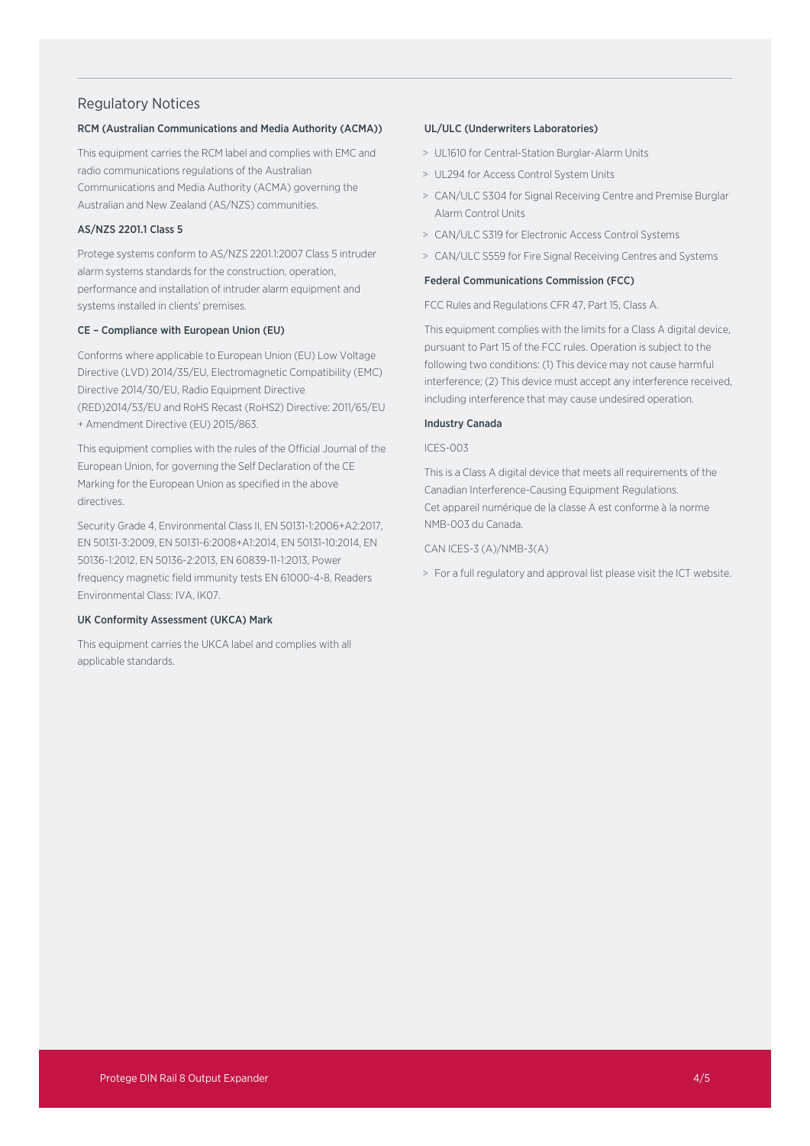## Regulatory Notices

#### RCM (Australian Communications and Media Authority (ACMA))

This equipment carries the RCM label and complies with EMC and radio communications regulations of the Australian Communications and Media Authority (ACMA) governing the Australian and New Zealand (AS/NZS) communities.

### AS/NZS 2201.1 Class 5

Protege systems conform to AS/NZS 2201.1:2007 Class 5 intruder alarm systems standards for the construction, operation, performance and installation of intruder alarm equipment and systems installed in clients' premises.

#### CE – Compliance with European Union (EU)

Conforms where applicable to European Union (EU) Low Voltage Directive (LVD) 2014/35/EU, Electromagnetic Compatibility (EMC) Directive 2014/30/EU, Radio Equipment Directive (RED)2014/53/EU and RoHS Recast (RoHS2) Directive: 2011/65/EU + Amendment Directive (EU) 2015/863.

This equipment complies with the rules of the Official Journal of the European Union, for governing the Self Declaration of the CE Marking for the European Union as specified in the above directives.

Security Grade 4, Environmental Class II, EN 50131-1:2006+A2:2017, EN 50131-3:2009, EN 50131-6:2008+A1:2014, EN 50131-10:2014, EN 50136-1:2012, EN 50136-2:2013, EN 60839-11-1:2013, Power frequency magnetic field immunity tests EN 61000-4-8, Readers Environmental Class: IVA, IK07.

#### UK Conformity Assessment (UKCA) Mark

This equipment carries the UKCA label and complies with all applicable standards.

#### UL/ULC (Underwriters Laboratories)

- > UL1610 for Central-Station Burglar-Alarm Units
- > UL294 for Access Control System Units
- > CAN/ULC S304 for Signal Receiving Centre and Premise Burglar Alarm Control Units
- > CAN/ULC S319 for Electronic Access Control Systems
- > CAN/ULC S559 for Fire Signal Receiving Centres and Systems

#### Federal Communications Commission (FCC)

FCC Rules and Regulations CFR 47, Part 15, Class A.

This equipment complies with the limits for a Class A digital device, pursuant to Part 15 of the FCC rules. Operation is subject to the following two conditions: (1) This device may not cause harmful interference; (2) This device must accept any interference received, including interference that may cause undesired operation.

#### Industry Canada

#### ICES-003

This is a Class A digital device that meets all requirements of the Canadian Interference-Causing Equipment Regulations. Cet appareil numérique de la classe A est conforme à la norme NMB-003 du Canada.

CAN ICES-3 (A)/NMB-3(A)

> For a full regulatory and approval list please visit the ICT website.